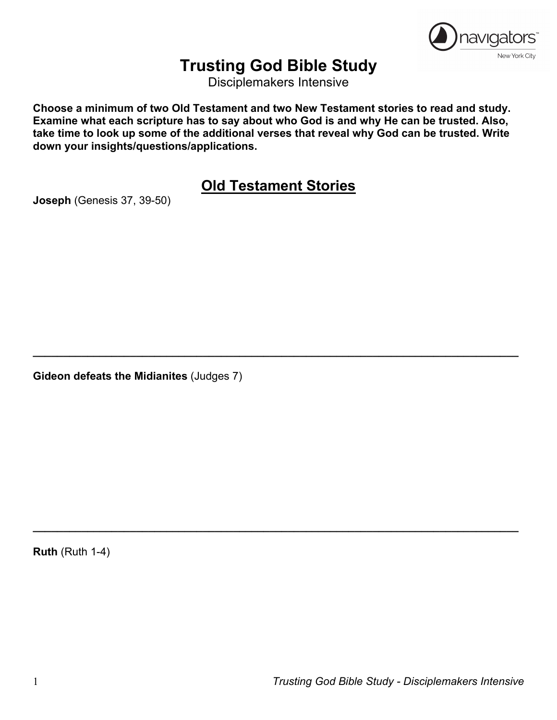

# **Trusting God Bible Study**

Disciplemakers Intensive

**Choose a minimum of two Old Testament and two New Testament stories to read and study. Examine what each scripture has to say about who God is and why He can be trusted. Also, take time to look up some of the additional verses that reveal why God can be trusted. Write down your insights/questions/applications.**

**Old Testament Stories**

**\_\_\_\_\_\_\_\_\_\_\_\_\_\_\_\_\_\_\_\_\_\_\_\_\_\_\_\_\_\_\_\_\_\_\_\_\_\_\_\_\_\_\_\_\_\_\_\_\_\_\_\_\_\_\_\_\_\_\_\_\_\_\_\_\_\_\_\_\_\_\_\_\_\_\_\_\_\_\_\_**

**\_\_\_\_\_\_\_\_\_\_\_\_\_\_\_\_\_\_\_\_\_\_\_\_\_\_\_\_\_\_\_\_\_\_\_\_\_\_\_\_\_\_\_\_\_\_\_\_\_\_\_\_\_\_\_\_\_\_\_\_\_\_\_\_\_\_\_\_\_\_\_\_\_\_\_\_\_\_\_\_**

**Joseph** (Genesis 37, 39-50)

**Gideon defeats the Midianites** (Judges 7)

**Ruth** (Ruth 1-4)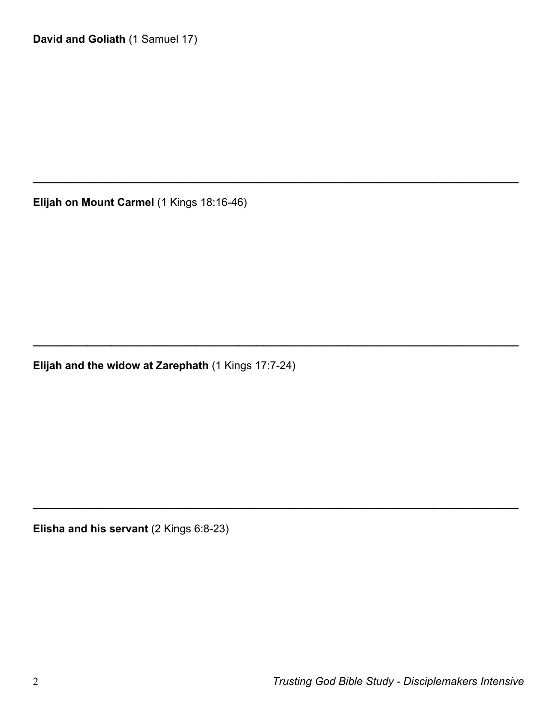**Elijah on Mount Carmel** (1 Kings 18:16-46)

**\_\_\_\_\_\_\_\_\_\_\_\_\_\_\_\_\_\_\_\_\_\_\_\_\_\_\_\_\_\_\_\_\_\_\_\_\_\_\_\_\_\_\_\_\_\_\_\_\_\_\_\_\_\_\_\_\_\_\_\_\_\_\_\_\_\_\_\_\_\_\_\_\_\_\_\_\_\_\_\_**

**\_\_\_\_\_\_\_\_\_\_\_\_\_\_\_\_\_\_\_\_\_\_\_\_\_\_\_\_\_\_\_\_\_\_\_\_\_\_\_\_\_\_\_\_\_\_\_\_\_\_\_\_\_\_\_\_\_\_\_\_\_\_\_\_\_\_\_\_\_\_\_\_\_\_\_\_\_\_\_\_**

**\_\_\_\_\_\_\_\_\_\_\_\_\_\_\_\_\_\_\_\_\_\_\_\_\_\_\_\_\_\_\_\_\_\_\_\_\_\_\_\_\_\_\_\_\_\_\_\_\_\_\_\_\_\_\_\_\_\_\_\_\_\_\_\_\_\_\_\_\_\_\_\_\_\_\_\_\_\_\_\_**

**Elijah and the widow at Zarephath** (1 Kings 17:7-24)

**Elisha and his servant** (2 Kings 6:8-23)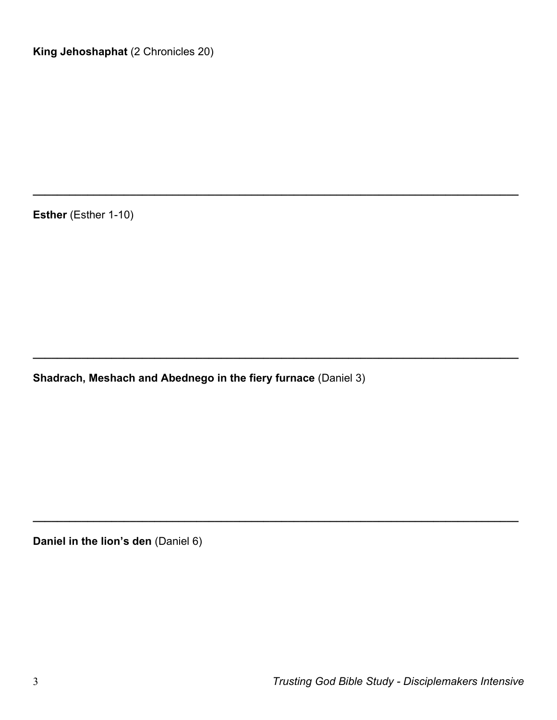**Esther** (Esther 1-10)

**Shadrach, Meshach and Abednego in the fiery furnace** (Daniel 3)

**\_\_\_\_\_\_\_\_\_\_\_\_\_\_\_\_\_\_\_\_\_\_\_\_\_\_\_\_\_\_\_\_\_\_\_\_\_\_\_\_\_\_\_\_\_\_\_\_\_\_\_\_\_\_\_\_\_\_\_\_\_\_\_\_\_\_\_\_\_\_\_\_\_\_\_\_\_\_\_\_**

**\_\_\_\_\_\_\_\_\_\_\_\_\_\_\_\_\_\_\_\_\_\_\_\_\_\_\_\_\_\_\_\_\_\_\_\_\_\_\_\_\_\_\_\_\_\_\_\_\_\_\_\_\_\_\_\_\_\_\_\_\_\_\_\_\_\_\_\_\_\_\_\_\_\_\_\_\_\_\_\_**

**\_\_\_\_\_\_\_\_\_\_\_\_\_\_\_\_\_\_\_\_\_\_\_\_\_\_\_\_\_\_\_\_\_\_\_\_\_\_\_\_\_\_\_\_\_\_\_\_\_\_\_\_\_\_\_\_\_\_\_\_\_\_\_\_\_\_\_\_\_\_\_\_\_\_\_\_\_\_\_\_**

**Daniel in the lion's den** (Daniel 6)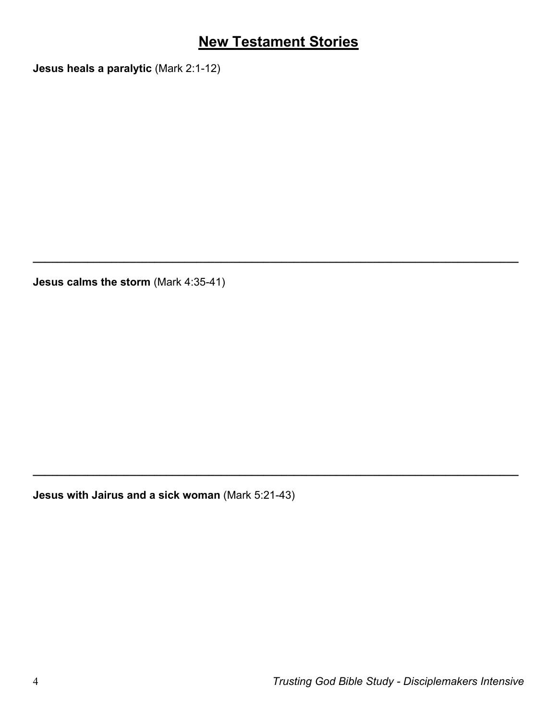### **New Testament Stories**

**\_\_\_\_\_\_\_\_\_\_\_\_\_\_\_\_\_\_\_\_\_\_\_\_\_\_\_\_\_\_\_\_\_\_\_\_\_\_\_\_\_\_\_\_\_\_\_\_\_\_\_\_\_\_\_\_\_\_\_\_\_\_\_\_\_\_\_\_\_\_\_\_\_\_\_\_\_\_\_\_**

**\_\_\_\_\_\_\_\_\_\_\_\_\_\_\_\_\_\_\_\_\_\_\_\_\_\_\_\_\_\_\_\_\_\_\_\_\_\_\_\_\_\_\_\_\_\_\_\_\_\_\_\_\_\_\_\_\_\_\_\_\_\_\_\_\_\_\_\_\_\_\_\_\_\_\_\_\_\_\_\_**

**Jesus heals a paralytic** (Mark 2:1-12)

**Jesus calms the storm** (Mark 4:35-41)

**Jesus with Jairus and a sick woman** (Mark 5:21-43)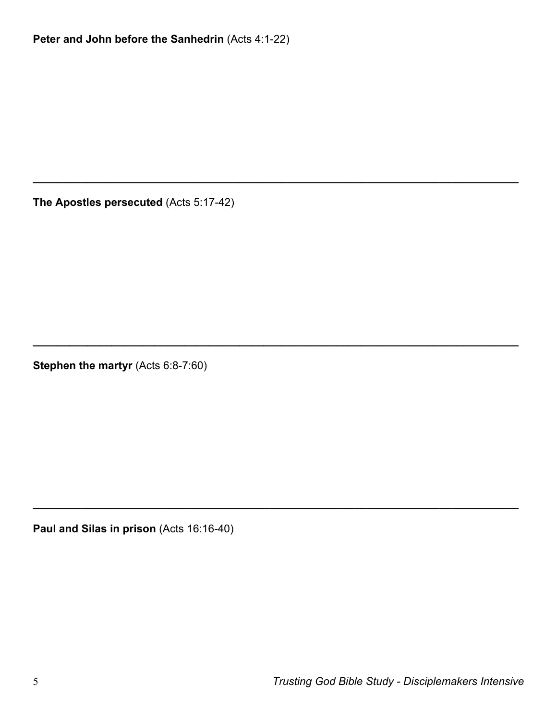**Peter and John before the Sanhedrin** (Acts 4:1-22)

**\_\_\_\_\_\_\_\_\_\_\_\_\_\_\_\_\_\_\_\_\_\_\_\_\_\_\_\_\_\_\_\_\_\_\_\_\_\_\_\_\_\_\_\_\_\_\_\_\_\_\_\_\_\_\_\_\_\_\_\_\_\_\_\_\_\_\_\_\_\_\_\_\_\_\_\_\_\_\_\_**

**\_\_\_\_\_\_\_\_\_\_\_\_\_\_\_\_\_\_\_\_\_\_\_\_\_\_\_\_\_\_\_\_\_\_\_\_\_\_\_\_\_\_\_\_\_\_\_\_\_\_\_\_\_\_\_\_\_\_\_\_\_\_\_\_\_\_\_\_\_\_\_\_\_\_\_\_\_\_\_\_**

**\_\_\_\_\_\_\_\_\_\_\_\_\_\_\_\_\_\_\_\_\_\_\_\_\_\_\_\_\_\_\_\_\_\_\_\_\_\_\_\_\_\_\_\_\_\_\_\_\_\_\_\_\_\_\_\_\_\_\_\_\_\_\_\_\_\_\_\_\_\_\_\_\_\_\_\_\_\_\_\_**

**The Apostles persecuted** (Acts 5:17-42)

**Stephen the martyr** (Acts 6:8-7:60)

**Paul and Silas in prison** (Acts 16:16-40)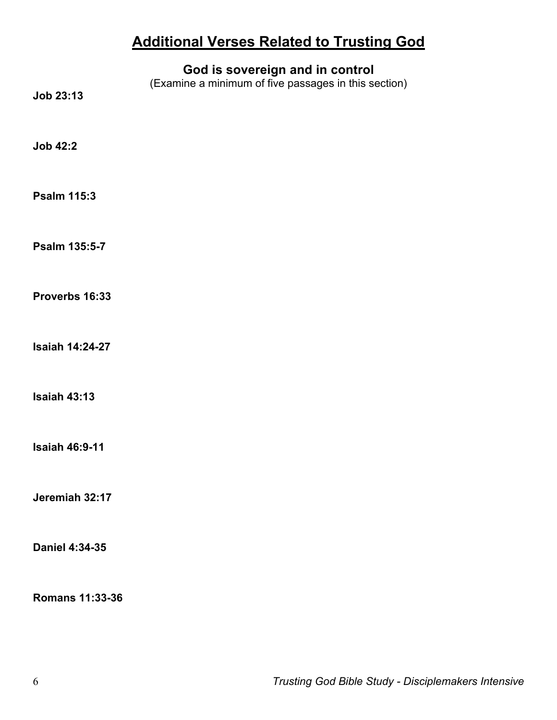## **Additional Verses Related to Trusting God**

| Job 23:13              | God is sovereign and in control<br>(Examine a minimum of five passages in this section) |
|------------------------|-----------------------------------------------------------------------------------------|
| <b>Job 42:2</b>        |                                                                                         |
| <b>Psalm 115:3</b>     |                                                                                         |
| Psalm 135:5-7          |                                                                                         |
| Proverbs 16:33         |                                                                                         |
| <b>Isaiah 14:24-27</b> |                                                                                         |
| <b>Isaiah 43:13</b>    |                                                                                         |
| <b>Isaiah 46:9-11</b>  |                                                                                         |
| Jeremiah 32:17         |                                                                                         |
| Daniel 4:34-35         |                                                                                         |
| <b>Romans 11:33-36</b> |                                                                                         |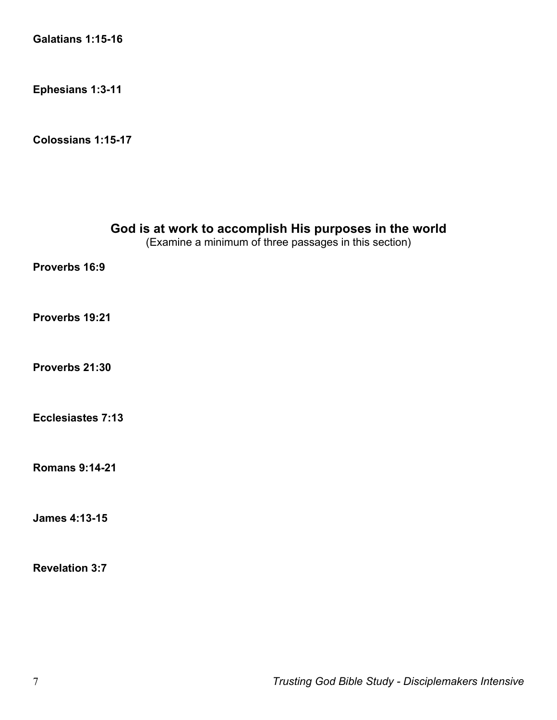**Galatians 1:15-16**

**Ephesians 1:3-11**

**Colossians 1:15-17**

| God is at work to accomplish His purposes in the world<br>(Examine a minimum of three passages in this section) |
|-----------------------------------------------------------------------------------------------------------------|
| Proverbs 16:9                                                                                                   |
| Proverbs 19:21                                                                                                  |
| Proverbs 21:30                                                                                                  |
| Ecclesiastes 7:13                                                                                               |
| <b>Romans 9:14-21</b>                                                                                           |
| <b>James 4:13-15</b>                                                                                            |
| <b>Revelation 3:7</b>                                                                                           |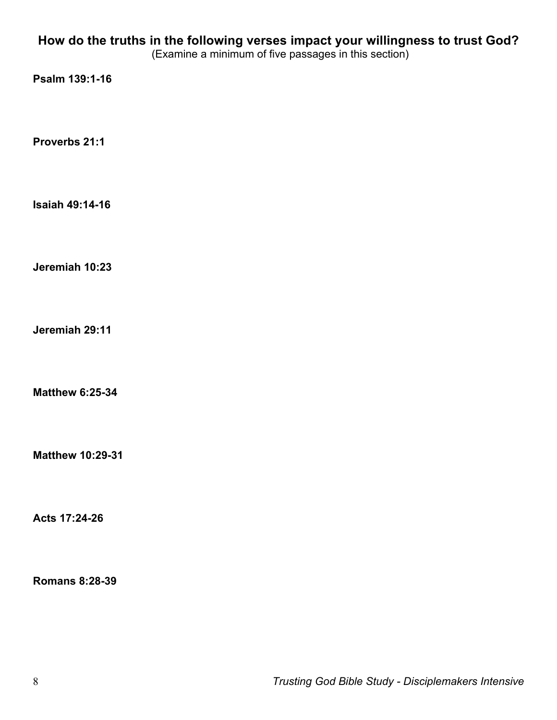#### **How do the truths in the following verses impact your willingness to trust God?**

(Examine a minimum of five passages in this section)

**Psalm 139:1-16**

**Proverbs 21:1**

**Isaiah 49:14-16**

**Jeremiah 10:23**

**Jeremiah 29:11**

**Matthew 6:25-34**

**Matthew 10:29-31**

**Acts 17:24-26**

**Romans 8:28-39**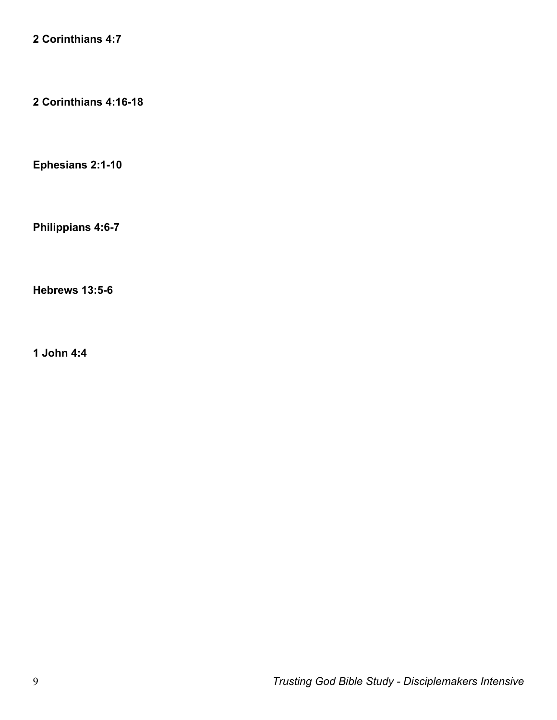**2 Corinthians 4:7**

**2 Corinthians 4:16-18**

**Ephesians 2:1-10**

**Philippians 4:6-7**

**Hebrews 13:5-6**

**1 John 4:4**